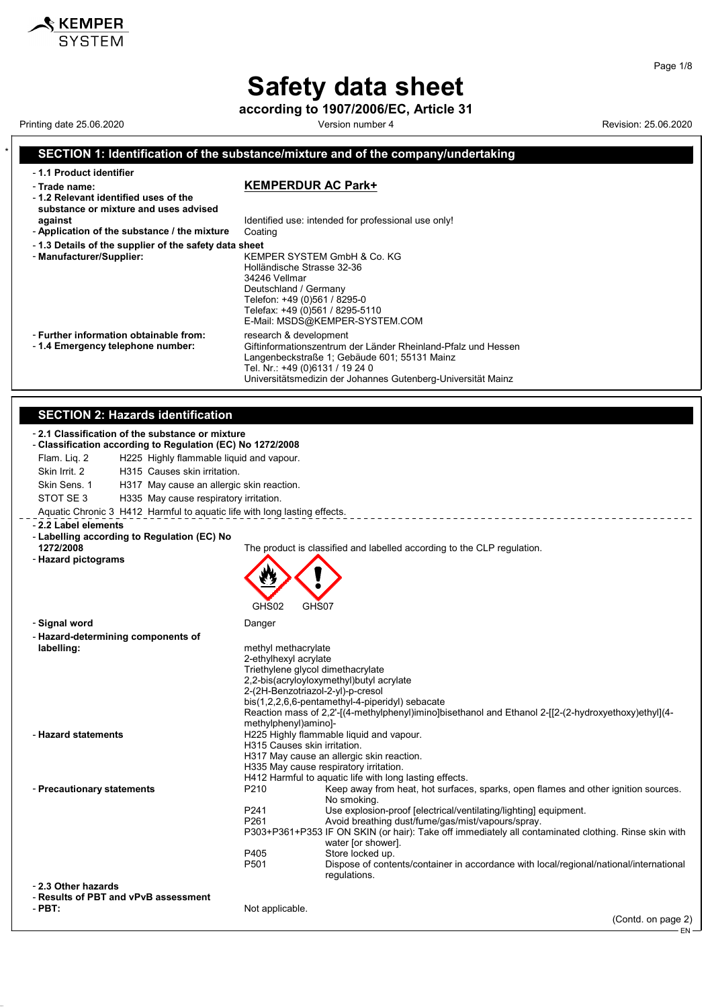## **Safety data sheet**

 $\boldsymbol{\mathsf{\$} }$  KEMPER

### **according to 1907/2006/EC, Article 31** Printing date 25.06.2020 **Version number 4** Version number 4 Revision: 25.06.2020 \* **SECTION 1: Identification of the substance/mixture and of the company/undertaking** - **1.1 Product identifier** - **Trade name: KEMPERDUR AC Park+** - **1.2 Relevant identified uses of the substance or mixture and uses advised against against Identified use: intended for professional use only!**<br>**Application of the substance / the mixture** Coating - Application of the substance / the mixture - **1.3 Details of the supplier of the safety data sheet** - **Manufacturer/Supplier:** KEMPER SYSTEM GmbH & Co. KG Holländische Strasse 32-36 34246 Vellmar Deutschland / Germany Telefon: +49 (0)561 / 8295-0 Telefax: +49 (0)561 / 8295-5110 E-Mail: MSDS@KEMPER-SYSTEM.COM - **Further information obtainable from:** research & development<br>- 1.4 **Emergency telephone number:** Giftinformationszentrum Giftinformationszentrum der Länder Rheinland-Pfalz und Hessen Langenbeckstraße 1; Gebäude 601; 55131 Mainz Tel. Nr.: +49 (0)6131 / 19 24 0 Universitätsmedizin der Johannes Gutenberg-Universität Mainz **SECTION 2: Hazards identification** - **2.1 Classification of the substance or mixture** - **Classification according to Regulation (EC) No 1272/2008** Flam. Liq. 2 H225 Highly flammable liquid and vapour. Skin Irrit. 2 H315 Causes skin irritation. Skin Sens. 1 H317 May cause an allergic skin reaction. STOT SE 3 H335 May cause respiratory irritation. Aquatic Chronic 3 H412 Harmful to aquatic life with long lasting effects. - **2.2 Label elements** - **Labelling according to Regulation (EC) No** The product is classified and labelled according to the CLP regulation. - **Hazard pictograms** CHS02 - **Signal word** Danger - **Hazard-determining components of** methyl methacrylate 2-ethylhexyl acrylate Triethylene glycol dimethacrylate 2,2-bis(acryloyloxymethyl)butyl acrylate 2-(2H-Benzotriazol-2-yl)-p-cresol bis(1,2,2,6,6-pentamethyl-4-piperidyl) sebacate Reaction mass of 2,2'-[(4-methylphenyl)imino]bisethanol and Ethanol 2-[[2-(2-hydroxyethoxy)ethyl](4 methylphenyl)amino]- - **Hazard statements H225 Highly flammable liquid and vapour.** H315 Causes skin irritation. H317 May cause an allergic skin reaction. H335 May cause respiratory irritation. H412 Harmful to aquatic life with long lasting effects. - **Precautionary statements** P210 Keep away from heat, hot surfaces, sparks, open flames and other ignition sources. No smoking. P241 Use explosion-proof [electrical/ventilating/lighting] equipment.<br>P261 Avoid breathing dust/fume/gas/mist/vapours/spray Avoid breathing dust/fume/gas/mist/vapours/spray. P303+P361+P353 IF ON SKIN (or hair): Take off immediately all contaminated clothing. Rinse skin with water [or shower]. P405 Store locked up<br>P501 Dispose of contra Dispose of contents/container in accordance with local/regional/national/international regulations. - **2.3 Other hazards** - **Results of PBT and vPvB assessment** Not applicable. (Contd. on page 2)

Page 1/8

EN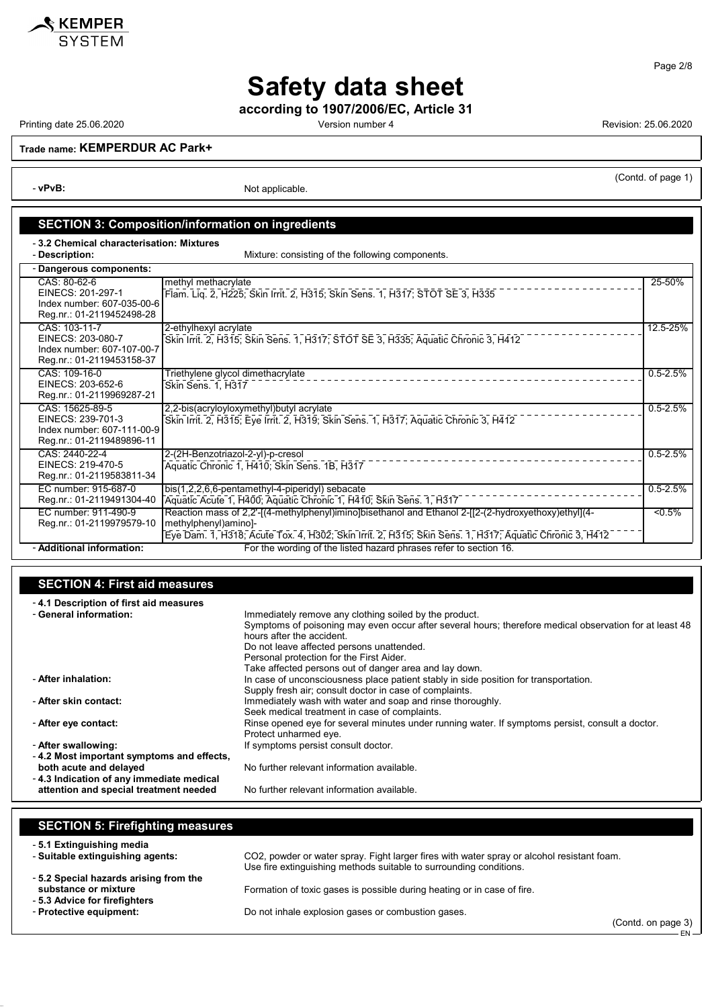

**according to 1907/2006/EC, Article 31**

KEMPER **SYSTEM** 

Printing date 25.06.2020 **Version number 4** Version number 4 Revision: 25.06.2020

(Contd. of page 1)

**Trade name: KEMPERDUR AC Park+**

- **vPvB:** Not applicable.

### **SECTION 3: Composition/information on ingredients**

- **3.2 Chemical characterisation: Mixtures**

Mixture: consisting of the following components.

| - Dangerous components:                                                                         |                                                                                                                                                                                                                                        |              |  |
|-------------------------------------------------------------------------------------------------|----------------------------------------------------------------------------------------------------------------------------------------------------------------------------------------------------------------------------------------|--------------|--|
| CAS: 80-62-6<br>EINECS: 201-297-1<br>Index number: 607-035-00-6<br>Reg.nr.: 01-2119452498-28    | methyl methacrylate<br>Flam. Lig. 2, H225; Skin Irrit. 2, H315; Skin Sens. 1, H317; STOT SE 3, H335                                                                                                                                    | 25-50%       |  |
| CAS: 103-11-7<br>EINECS: 203-080-7<br>Index number: 607-107-00-7<br>Reg.nr.: 01-2119453158-37   | 2-ethylhexyl acrylate<br>Skin Irrit. 2, H315; Skin Sens. 1, H317; STOT SE 3, H335; Aquatic Chronic 3, H412                                                                                                                             | 12.5-25%     |  |
| CAS: 109-16-0<br>EINECS: 203-652-6<br>Reg.nr.: 01-2119969287-21                                 | Triethylene glycol dimethacrylate<br>Skin Sens. 1, H317                                                                                                                                                                                | $0.5 - 2.5%$ |  |
| CAS: 15625-89-5<br>EINECS: 239-701-3<br>Index number: 607-111-00-9<br>Reg.nr.: 01-2119489896-11 | 2,2-bis(acryloyloxymethyl)butyl acrylate<br>Skin Irrit. 2, H315; Eye Irrit. 2, H319; Skin Sens. 1, H317; Aquatic Chronic 3, H412                                                                                                       | $0.5 - 2.5%$ |  |
| CAS: 2440-22-4<br>EINECS: 219-470-5<br>Reg.nr.: 01-2119583811-34                                | 2-(2H-Benzotriazol-2-yl)-p-cresol<br>Aquatic Chronic 1, H410; Skin Sens. 1B, H317                                                                                                                                                      | $0.5 - 2.5%$ |  |
| EC number: 915-687-0<br>Reg.nr.: 01-2119491304-40                                               | bis(1,2,2,6,6-pentamethyl-4-piperidyl) sebacate<br>Aquatic Acute 1, H400; Aquatic Chronic 1, H410; Skin Sens. 1, H317                                                                                                                  | $0.5 - 2.5%$ |  |
| EC number: 911-490-9<br>Reg.nr.: 01-2119979579-10                                               | Reaction mass of 2,2'-[(4-methylphenyl)imino]bisethanol and Ethanol 2-[[2-(2-hydroxyethoxy)ethyl](4-<br>methylphenyl)amino]-<br>Eye Dam. 1, H318; Acute Tox. 4, H302; Skin Irrit. 2, H315; Skin Sens. 1, H317; Aquatic Chronic 3, H412 | 5%           |  |
| - Additional information:                                                                       | For the wording of the listed hazard phrases refer to section 16.                                                                                                                                                                      |              |  |

### **SECTION 4: First aid measures**

| -4.1 Description of first aid measures    |                                                                                                         |
|-------------------------------------------|---------------------------------------------------------------------------------------------------------|
| - General information:                    | Immediately remove any clothing soiled by the product.                                                  |
|                                           | Symptoms of poisoning may even occur after several hours; therefore medical observation for at least 48 |
|                                           | hours after the accident                                                                                |
|                                           | Do not leave affected persons unattended.                                                               |
|                                           | Personal protection for the First Aider.                                                                |
|                                           | Take affected persons out of danger area and lay down.                                                  |
| - After inhalation:                       | In case of unconsciousness place patient stably in side position for transportation.                    |
|                                           | Supply fresh air; consult doctor in case of complaints.                                                 |
| - After skin contact:                     | Immediately wash with water and soap and rinse thoroughly.                                              |
|                                           | Seek medical treatment in case of complaints.                                                           |
| - After eye contact:                      | Rinse opened eye for several minutes under running water. If symptoms persist, consult a doctor.        |
|                                           | Protect unharmed eye.                                                                                   |
| - After swallowing:                       | If symptoms persist consult doctor.                                                                     |
| -4.2 Most important symptoms and effects, |                                                                                                         |
| both acute and delayed                    | No further relevant information available.                                                              |
| -4.3 Indication of any immediate medical  |                                                                                                         |
| attention and special treatment needed    | No further relevant information available.                                                              |

### **SECTION 5: Firefighting measures** - **5.1 Extinguishing media** CO2, powder or water spray. Fight larger fires with water spray or alcohol resistant foam. Use fire extinguishing methods suitable to surrounding conditions. - **5.2 Special hazards arising from the** Formation of toxic gases is possible during heating or in case of fire. - **5.3 Advice for firefighters**

- **Protective equipment:** Do not inhale explosion gases or combustion gases.

(Contd. on page 3) EN

Page 2/8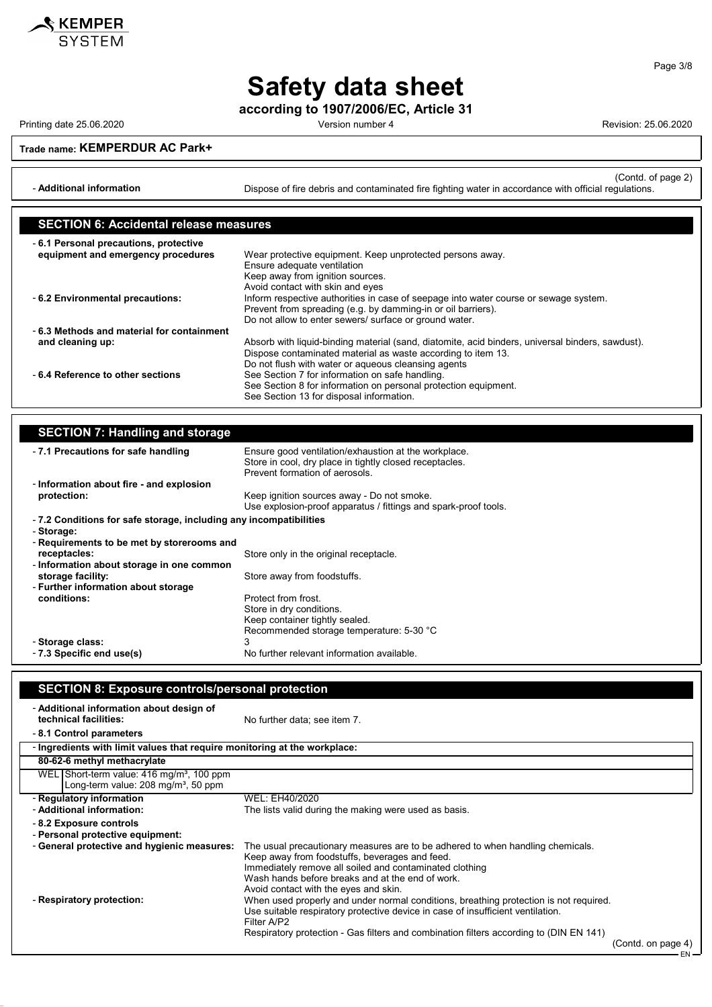

**Safety data sheet**

**according to 1907/2006/EC, Article 31**

Printing date 25.06.2020 Version number 4 Revision: 25.06.2020

**Trade name: KEMPERDUR AC Park+**

(Contd. of page 2) - **Additional information** Dispose of fire debris and contaminated fire fighting water in accordance with official regulations.

| <b>SECTION 6: Accidental release measures</b> |                                                                                                  |  |
|-----------------------------------------------|--------------------------------------------------------------------------------------------------|--|
| -6.1 Personal precautions, protective         |                                                                                                  |  |
| equipment and emergency procedures            | Wear protective equipment. Keep unprotected persons away.                                        |  |
|                                               | Ensure adequate ventilation                                                                      |  |
|                                               | Keep away from ignition sources.                                                                 |  |
|                                               | Avoid contact with skin and eyes                                                                 |  |
| - 6.2 Environmental precautions:              | Inform respective authorities in case of seepage into water course or sewage system.             |  |
|                                               | Prevent from spreading (e.g. by damming-in or oil barriers).                                     |  |
|                                               | Do not allow to enter sewers/ surface or ground water.                                           |  |
| -6.3 Methods and material for containment     |                                                                                                  |  |
| and cleaning up:                              | Absorb with liquid-binding material (sand, diatomite, acid binders, universal binders, sawdust). |  |
|                                               | Dispose contaminated material as waste according to item 13.                                     |  |
|                                               | Do not flush with water or aqueous cleansing agents                                              |  |
| -6.4 Reference to other sections              | See Section 7 for information on safe handling.                                                  |  |
|                                               | See Section 8 for information on personal protection equipment.                                  |  |
|                                               | See Section 13 for disposal information.                                                         |  |

### **SECTION 7: Handling and storage**

| -7.1 Precautions for safe handling                                | Ensure good ventilation/exhaustion at the workplace.<br>Store in cool, dry place in tightly closed receptacles.<br>Prevent formation of aerosols. |  |  |
|-------------------------------------------------------------------|---------------------------------------------------------------------------------------------------------------------------------------------------|--|--|
| - Information about fire - and explosion                          |                                                                                                                                                   |  |  |
| protection:                                                       | Keep ignition sources away - Do not smoke.<br>Use explosion-proof apparatus / fittings and spark-proof tools.                                     |  |  |
| -7.2 Conditions for safe storage, including any incompatibilities |                                                                                                                                                   |  |  |
| - Storage:<br>- Requirements to be met by storerooms and          |                                                                                                                                                   |  |  |
| receptacles:                                                      | Store only in the original receptacle.                                                                                                            |  |  |
| - Information about storage in one common<br>storage facility:    | Store away from foodstuffs.                                                                                                                       |  |  |
| - Further information about storage                               |                                                                                                                                                   |  |  |
| conditions:                                                       | Protect from frost.<br>Store in dry conditions.<br>Keep container tightly sealed.<br>Recommended storage temperature: 5-30 °C                     |  |  |
| - Storage class:                                                  | 3                                                                                                                                                 |  |  |
| - 7.3 Specific end use(s)                                         | No further relevant information available.                                                                                                        |  |  |

### **SECTION 8: Exposure controls/personal protection**

| - Additional information about design of<br>technical facilities:<br>-8.1 Control parameters                                            | No further data; see item 7.                                                                                                                                                                                                                                                                                                                                                                                                                                         |                    |
|-----------------------------------------------------------------------------------------------------------------------------------------|----------------------------------------------------------------------------------------------------------------------------------------------------------------------------------------------------------------------------------------------------------------------------------------------------------------------------------------------------------------------------------------------------------------------------------------------------------------------|--------------------|
| - Ingredients with limit values that require monitoring at the workplace:                                                               |                                                                                                                                                                                                                                                                                                                                                                                                                                                                      |                    |
| 80-62-6 methyl methacrylate                                                                                                             |                                                                                                                                                                                                                                                                                                                                                                                                                                                                      |                    |
| WEL Short-term value: 416 mg/m <sup>3</sup> , 100 ppm<br>Long-term value: 208 mg/m <sup>3</sup> , 50 ppm                                |                                                                                                                                                                                                                                                                                                                                                                                                                                                                      |                    |
| - Regulatory information                                                                                                                | WEL: EH40/2020                                                                                                                                                                                                                                                                                                                                                                                                                                                       |                    |
| - Additional information:                                                                                                               | The lists valid during the making were used as basis.                                                                                                                                                                                                                                                                                                                                                                                                                |                    |
| - 8.2 Exposure controls<br>- Personal protective equipment:<br>- General protective and hygienic measures:<br>- Respiratory protection: | The usual precautionary measures are to be adhered to when handling chemicals.<br>Keep away from foodstuffs, beverages and feed.<br>Immediately remove all soiled and contaminated clothing<br>Wash hands before breaks and at the end of work.<br>Avoid contact with the eyes and skin.<br>When used properly and under normal conditions, breathing protection is not required.<br>Use suitable respiratory protective device in case of insufficient ventilation. |                    |
|                                                                                                                                         | Filter A/P2<br>Respiratory protection - Gas filters and combination filters according to (DIN EN 141)                                                                                                                                                                                                                                                                                                                                                                | (Contd. on page 4) |

Page 3/8

EN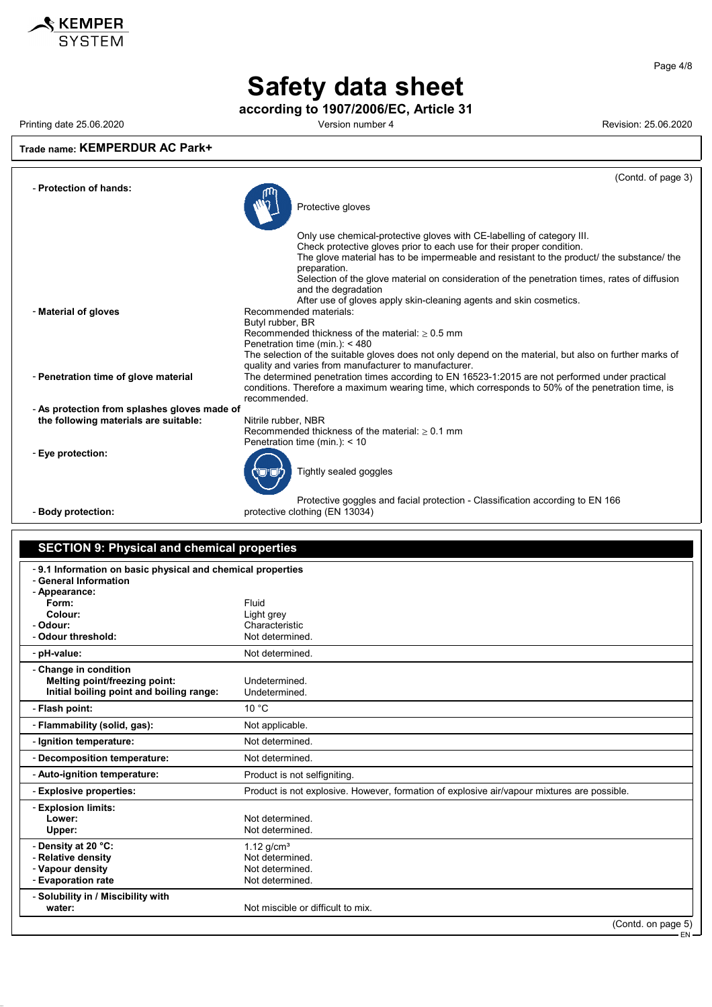

# **Safety data sheet**

**according to 1907/2006/EC, Article 31**

Printing date 25.06.2020 Version number 4 Revision: 25.06.2020

### **Trade name: KEMPERDUR AC Park+**

|                                              | (Contd. of page 3)                                                                                                                                                                                    |
|----------------------------------------------|-------------------------------------------------------------------------------------------------------------------------------------------------------------------------------------------------------|
| - Protection of hands:                       | Protective gloves                                                                                                                                                                                     |
|                                              |                                                                                                                                                                                                       |
|                                              | Only use chemical-protective gloves with CE-labelling of category III.                                                                                                                                |
|                                              | Check protective gloves prior to each use for their proper condition.<br>The glove material has to be impermeable and resistant to the product/ the substance/ the                                    |
|                                              | preparation.<br>Selection of the glove material on consideration of the penetration times, rates of diffusion                                                                                         |
|                                              | and the degradation                                                                                                                                                                                   |
| - Material of gloves                         | After use of gloves apply skin-cleaning agents and skin cosmetics.<br>Recommended materials:                                                                                                          |
|                                              | Butyl rubber, BR                                                                                                                                                                                      |
|                                              | Recommended thickness of the material: $> 0.5$ mm                                                                                                                                                     |
|                                              | Penetration time (min.): $<$ 480                                                                                                                                                                      |
|                                              | The selection of the suitable gloves does not only depend on the material, but also on further marks of                                                                                               |
|                                              | quality and varies from manufacturer to manufacturer.                                                                                                                                                 |
| - Penetration time of glove material         | The determined penetration times according to EN 16523-1:2015 are not performed under practical<br>conditions. Therefore a maximum wearing time, which corresponds to 50% of the penetration time, is |
|                                              | recommended.                                                                                                                                                                                          |
| - As protection from splashes gloves made of |                                                                                                                                                                                                       |
| the following materials are suitable:        | Nitrile rubber, NBR                                                                                                                                                                                   |
|                                              | Recommended thickness of the material: $> 0.1$ mm<br>Penetration time (min.): $<$ 10                                                                                                                  |
| - Eye protection:                            | Tightly sealed goggles                                                                                                                                                                                |
|                                              |                                                                                                                                                                                                       |
| - Body protection:                           | Protective goggles and facial protection - Classification according to EN 166<br>protective clothing (EN 13034)                                                                                       |
|                                              |                                                                                                                                                                                                       |

### **SECTION 9: Physical and chemical properties** - **9.1 Information on basic physical and chemical properties** - **General Information** - **Appearance: Form:** Fluid Colour: Fluid Colour: **Colour:** Colour:<br>
Characteria and Characteria and Characteria and Characteria and Characteria and Characteria and Characteria and C - **Odour:** Characteristic - Odour threshold: Not determined. - pH-value: Not determined. - **Change in condition Melting point/freezing point:** Undetermined.<br> **Initial boiling point and boiling range:** Undetermined. **Initial boiling point and boiling range:** - **Flash point:** 10 °C - **Flammability (solid, gas):** Not applicable. - **Ignition temperature:** Not determined. - **Decomposition temperature:** Not determined. - **Auto-ignition temperature:** Product is not selfigniting. - **Explosive properties:** Product is not explosive. However, formation of explosive air/vapour mixtures are possible. - **Explosion limits: Lower:** Not determined.<br>
Upper: Not determined. Not determined. - **Density at 20 °C:** 1.12 g/cm<sup>3</sup><br>- **Relative density** Not determined

| - Relative density<br>- Vapour density<br>- Evaporation rate | Not determined.<br>Not determined.<br>Not determined. |                         |
|--------------------------------------------------------------|-------------------------------------------------------|-------------------------|
| - Solubility in / Miscibility with<br>water:                 | Not miscible or difficult to mix.                     |                         |
|                                                              |                                                       | $(Contd)$ on page $5$ ) |

(Contd. on page EN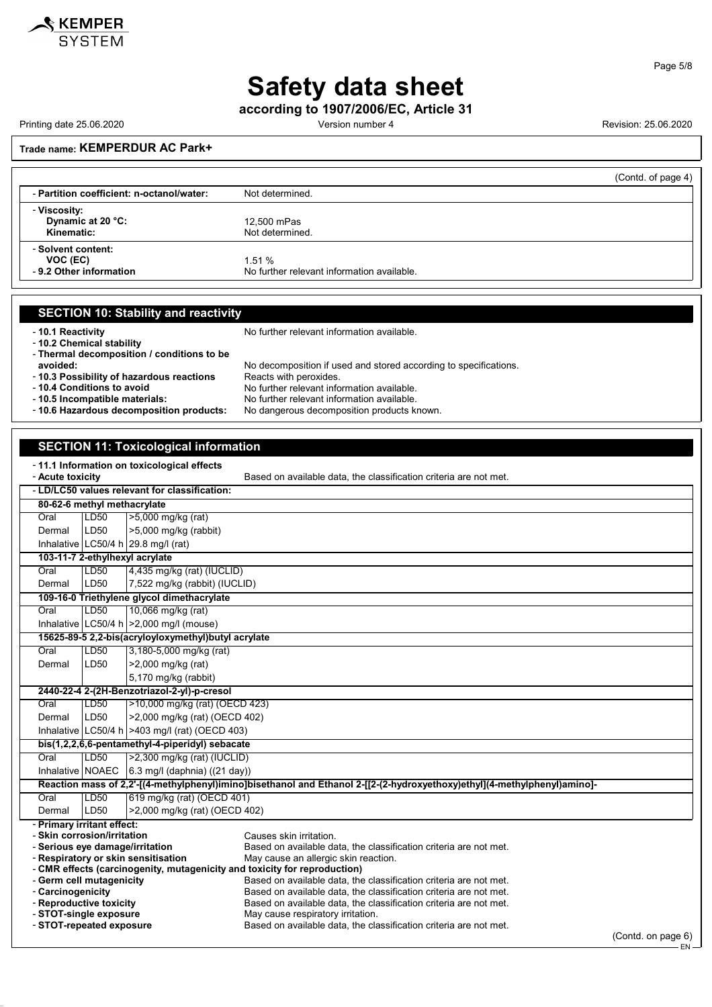

### Page 5/8

.<br>FN

## **Safety data sheet**

**according to 1907/2006/EC, Article 31**

Printing date 25.06.2020 **Version number 4** Version number 4 Revision: 25.06.2020

### **Trade name: KEMPERDUR AC Park+**

|                                                           | (Contd. of page 4)                                  |
|-----------------------------------------------------------|-----------------------------------------------------|
| - Partition coefficient: n-octanol/water:                 | Not determined.                                     |
| - Viscosity:<br>Dynamic at 20 °C:<br>Kinematic:           | 12,500 mPas<br>Not determined.                      |
| - Solvent content:<br>VOC (EC)<br>- 9.2 Other information | 1.51%<br>No further relevant information available. |

### **SECTION 10: Stability and reactivity**

- **10.1 Reactivity 10.1 Reactivity 10.1 Reactivity 10.1 Reactivity 10.1 Reactivity 10.1 Reactivity 10.1 Reactivity 10.1 Reactivity 10.1 Reactivity 10.1 Reactivity 10.1 10.1 10.1 10** 

- **10.2 Chemical stability**

- **Thermal decomposition / conditions to be**

- 10.3 Possibility of hazardous reactions<br>- 10.4 Conditions to avoid

No decomposition if used and stored according to specifications.<br>Reacts with peroxides. - **10.4 Conditions to avoid**<br> **10.5 Incompatible materials:** No further relevant information available.<br>
No further relevant information available.

- **10.5 Incompatible materials:** No further relevant information available. No dangerous decomposition products known.

### **SECTION 11: Toxicological information**

### - **11.1 Information on toxicological effects**

- **Acute toxicity** Based on available data, the classification criteria are not met.

| <b>ACULE LUAIGILY</b><br>Dascu on available uata. The classification chiteria are not met                                |                                                                                                                                                          |                                                                   |                    |  |  |
|--------------------------------------------------------------------------------------------------------------------------|----------------------------------------------------------------------------------------------------------------------------------------------------------|-------------------------------------------------------------------|--------------------|--|--|
| - LD/LC50 values relevant for classification:                                                                            |                                                                                                                                                          |                                                                   |                    |  |  |
|                                                                                                                          | 80-62-6 methyl methacrylate                                                                                                                              |                                                                   |                    |  |  |
| Oral                                                                                                                     | LD50                                                                                                                                                     | >5,000 mg/kg (rat)                                                |                    |  |  |
| Dermal                                                                                                                   | LD50                                                                                                                                                     | >5,000 mg/kg (rabbit)                                             |                    |  |  |
|                                                                                                                          |                                                                                                                                                          | Inhalative LC50/4 h 29.8 mg/l (rat)                               |                    |  |  |
|                                                                                                                          |                                                                                                                                                          | 103-11-7 2-ethylhexyl acrylate                                    |                    |  |  |
| Oral                                                                                                                     | LD50                                                                                                                                                     | 4,435 mg/kg (rat) (IUCLID)                                        |                    |  |  |
| Dermal                                                                                                                   | LD50                                                                                                                                                     | 7,522 mg/kg (rabbit) (IUCLID)                                     |                    |  |  |
|                                                                                                                          |                                                                                                                                                          | 109-16-0 Triethylene glycol dimethacrylate                        |                    |  |  |
| Oral                                                                                                                     | LD50                                                                                                                                                     | 10,066 mg/kg (rat)                                                |                    |  |  |
|                                                                                                                          |                                                                                                                                                          | Inhalative LC50/4 h $ >2,000$ mg/l (mouse)                        |                    |  |  |
|                                                                                                                          |                                                                                                                                                          | 15625-89-5 2,2-bis(acryloyloxymethyl)butyl acrylate               |                    |  |  |
| Oral                                                                                                                     | LD50                                                                                                                                                     | 3,180-5,000 mg/kg (rat)                                           |                    |  |  |
| Dermal                                                                                                                   | LD50                                                                                                                                                     | >2,000 mg/kg (rat)                                                |                    |  |  |
|                                                                                                                          |                                                                                                                                                          | 5,170 mg/kg (rabbit)                                              |                    |  |  |
|                                                                                                                          | 2440-22-4 2-(2H-Benzotriazol-2-yl)-p-cresol                                                                                                              |                                                                   |                    |  |  |
| Oral                                                                                                                     | LD50                                                                                                                                                     | >10,000 mg/kg (rat) (OECD 423)                                    |                    |  |  |
| Dermal                                                                                                                   | LD50                                                                                                                                                     | >2,000 mg/kg (rat) (OECD 402)                                     |                    |  |  |
|                                                                                                                          | Inhalative LC50/4 h $>403$ mg/l (rat) (OECD 403)                                                                                                         |                                                                   |                    |  |  |
|                                                                                                                          | bis(1,2,2,6,6-pentamethyl-4-piperidyl) sebacate                                                                                                          |                                                                   |                    |  |  |
| Oral                                                                                                                     | LD <sub>50</sub>                                                                                                                                         | $>2,300$ mg/kg (rat) (IUCLID)                                     |                    |  |  |
|                                                                                                                          |                                                                                                                                                          | Inhalative NOAEC 6.3 mg/l (daphnia) ((21 day))                    |                    |  |  |
| Reaction mass of 2,2'-[(4-methylphenyl)imino]bisethanol and Ethanol 2-[[2-(2-hydroxyethoxy)ethyl](4-methylphenyl)amino]- |                                                                                                                                                          |                                                                   |                    |  |  |
| Oral                                                                                                                     | LD50                                                                                                                                                     | 619 mg/kg (rat) (OECD 401)                                        |                    |  |  |
| Dermal                                                                                                                   | LD50                                                                                                                                                     | >2,000 mg/kg (rat) (OECD 402)                                     |                    |  |  |
| - Primary irritant effect:                                                                                               |                                                                                                                                                          |                                                                   |                    |  |  |
| - Skin corrosion/irritation                                                                                              |                                                                                                                                                          | Causes skin irritation.                                           |                    |  |  |
| - Serious eye damage/irritation                                                                                          |                                                                                                                                                          | Based on available data, the classification criteria are not met. |                    |  |  |
|                                                                                                                          | - Respiratory or skin sensitisation<br>May cause an allergic skin reaction.<br>- CMR effects (carcinogenity, mutagenicity and toxicity for reproduction) |                                                                   |                    |  |  |
| - Germ cell mutagenicity                                                                                                 |                                                                                                                                                          | Based on available data, the classification criteria are not met. |                    |  |  |
| - Carcinogenicity                                                                                                        |                                                                                                                                                          | Based on available data, the classification criteria are not met. |                    |  |  |
| - Reproductive toxicity                                                                                                  |                                                                                                                                                          | Based on available data, the classification criteria are not met. |                    |  |  |
| - STOT-single exposure                                                                                                   |                                                                                                                                                          | May cause respiratory irritation.                                 |                    |  |  |
| - STOT-repeated exposure<br>Based on available data, the classification criteria are not met.                            |                                                                                                                                                          |                                                                   |                    |  |  |
|                                                                                                                          |                                                                                                                                                          |                                                                   | (Contd. on page 6) |  |  |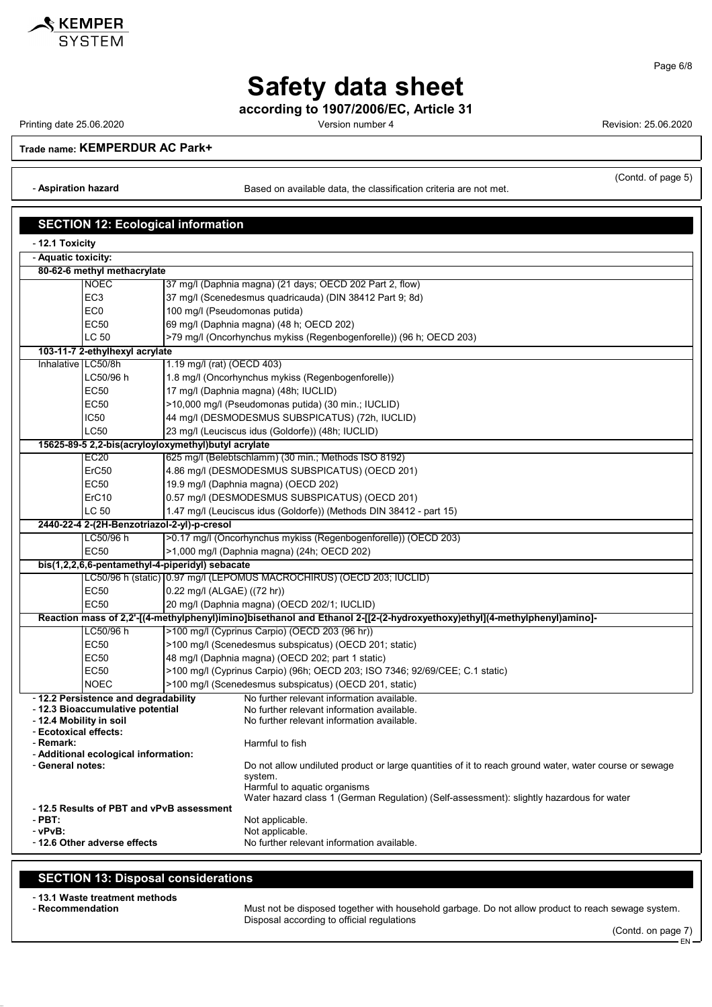

Page 6/8

# **Safety data sheet**

**according to 1907/2006/EC, Article 31**

Printing date 25.06.2020 Version number 4 Revision: 25.06.2020

**Trade name: KEMPERDUR AC Park+**

- **Aspiration hazard** Based on available data, the classification criteria are not met.

(Contd. of page 5)

|                                                 | <b>SECTION 12: Ecological information</b>                                    |                                                                                                                                                                            |  |  |  |
|-------------------------------------------------|------------------------------------------------------------------------------|----------------------------------------------------------------------------------------------------------------------------------------------------------------------------|--|--|--|
| - 12.1 Toxicity                                 |                                                                              |                                                                                                                                                                            |  |  |  |
| - Aquatic toxicity:                             |                                                                              |                                                                                                                                                                            |  |  |  |
|                                                 | 80-62-6 methyl methacrylate                                                  |                                                                                                                                                                            |  |  |  |
|                                                 | <b>NOEC</b>                                                                  | 37 mg/l (Daphnia magna) (21 days; OECD 202 Part 2, flow)                                                                                                                   |  |  |  |
|                                                 | EC <sub>3</sub>                                                              | 37 mg/l (Scenedesmus quadricauda) (DIN 38412 Part 9; 8d)                                                                                                                   |  |  |  |
|                                                 | EC <sub>0</sub>                                                              | 100 mg/l (Pseudomonas putida)                                                                                                                                              |  |  |  |
|                                                 | EC50                                                                         | 69 mg/l (Daphnia magna) (48 h; OECD 202)                                                                                                                                   |  |  |  |
|                                                 | <b>LC 50</b>                                                                 | >79 mg/l (Oncorhynchus mykiss (Regenbogenforelle)) (96 h; OECD 203)                                                                                                        |  |  |  |
|                                                 | 103-11-7 2-ethylhexyl acrylate                                               |                                                                                                                                                                            |  |  |  |
|                                                 | Inhalative LC50/8h                                                           | 1.19 mg/l (rat) (OECD 403)                                                                                                                                                 |  |  |  |
|                                                 | LC50/96 h                                                                    | 1.8 mg/l (Oncorhynchus mykiss (Regenbogenforelle))                                                                                                                         |  |  |  |
|                                                 | <b>EC50</b>                                                                  | 17 mg/l (Daphnia magna) (48h; IUCLID)                                                                                                                                      |  |  |  |
|                                                 | <b>EC50</b>                                                                  | >10,000 mg/l (Pseudomonas putida) (30 min.; IUCLID)                                                                                                                        |  |  |  |
|                                                 | <b>IC50</b>                                                                  | 44 mg/l (DESMODESMUS SUBSPICATUS) (72h, IUCLID)                                                                                                                            |  |  |  |
|                                                 | LC50                                                                         | 23 mg/l (Leuciscus idus (Goldorfe)) (48h; IUCLID)                                                                                                                          |  |  |  |
|                                                 |                                                                              | 15625-89-5 2,2-bis(acryloyloxymethyl)butyl acrylate                                                                                                                        |  |  |  |
|                                                 | EC <sub>20</sub>                                                             | 625 mg/l (Belebtschlamm) (30 min.; Methods ISO 8192)                                                                                                                       |  |  |  |
|                                                 | ErC50                                                                        | 4.86 mg/l (DESMODESMUS SUBSPICATUS) (OECD 201)                                                                                                                             |  |  |  |
|                                                 | <b>EC50</b>                                                                  | 19.9 mg/l (Daphnia magna) (OECD 202)                                                                                                                                       |  |  |  |
|                                                 | ErC10                                                                        | 0.57 mg/l (DESMODESMUS SUBSPICATUS) (OECD 201)                                                                                                                             |  |  |  |
|                                                 | LC 50<br>1.47 mg/l (Leuciscus idus (Goldorfe)) (Methods DIN 38412 - part 15) |                                                                                                                                                                            |  |  |  |
| 2440-22-4 2-(2H-Benzotriazol-2-yl)-p-cresol     |                                                                              |                                                                                                                                                                            |  |  |  |
|                                                 | LC50/96 h                                                                    | >0.17 mg/l (Oncorhynchus mykiss (Regenbogenforelle)) (OECD 203)                                                                                                            |  |  |  |
|                                                 | <b>EC50</b>                                                                  | >1,000 mg/l (Daphnia magna) (24h; OECD 202)                                                                                                                                |  |  |  |
| bis(1,2,2,6,6-pentamethyl-4-piperidyl) sebacate |                                                                              |                                                                                                                                                                            |  |  |  |
|                                                 |                                                                              | LC50/96 h (static) 0.97 mg/l (LEPOMUS MACROCHIRUS) (OECD 203; IUCLID)                                                                                                      |  |  |  |
|                                                 | EC50                                                                         | 0.22 mg/l (ALGAE) ((72 hr))                                                                                                                                                |  |  |  |
|                                                 | <b>EC50</b>                                                                  | 20 mg/l (Daphnia magna) (OECD 202/1; IUCLID)                                                                                                                               |  |  |  |
|                                                 | LC50/96 h                                                                    | Reaction mass of 2,2'-[(4-methylphenyl)imino]bisethanol and Ethanol 2-[[2-(2-hydroxyethoxy)ethyl](4-methylphenyl)amino]-<br>>100 mg/l (Cyprinus Carpio) (OECD 203 (96 hr)) |  |  |  |
|                                                 | <b>EC50</b>                                                                  | >100 mg/l (Scenedesmus subspicatus) (OECD 201; static)                                                                                                                     |  |  |  |
|                                                 | <b>EC50</b>                                                                  | 48 mg/l (Daphnia magna) (OECD 202; part 1 static)                                                                                                                          |  |  |  |
|                                                 | <b>EC50</b>                                                                  | >100 mg/l (Cyprinus Carpio) (96h; OECD 203; ISO 7346; 92/69/CEE; C.1 static)                                                                                               |  |  |  |
|                                                 | <b>NOEC</b>                                                                  | >100 mg/l (Scenedesmus subspicatus) (OECD 201, static)                                                                                                                     |  |  |  |
|                                                 | - 12.2 Persistence and degradability                                         | No further relevant information available.                                                                                                                                 |  |  |  |
|                                                 | - 12.3 Bioaccumulative potential                                             | No further relevant information available.                                                                                                                                 |  |  |  |
|                                                 | - 12.4 Mobility in soil                                                      | No further relevant information available.                                                                                                                                 |  |  |  |
| - Ecotoxical effects:                           |                                                                              |                                                                                                                                                                            |  |  |  |
| - Remark:                                       | - Additional ecological information:                                         | Harmful to fish                                                                                                                                                            |  |  |  |
| - General notes:                                |                                                                              | Do not allow undiluted product or large quantities of it to reach ground water, water course or sewage                                                                     |  |  |  |
|                                                 |                                                                              | system.                                                                                                                                                                    |  |  |  |
|                                                 |                                                                              | Harmful to aquatic organisms                                                                                                                                               |  |  |  |
|                                                 | -12.5 Results of PBT and vPvB assessment                                     | Water hazard class 1 (German Regulation) (Self-assessment): slightly hazardous for water                                                                                   |  |  |  |
| - PBT:                                          |                                                                              | Not applicable.                                                                                                                                                            |  |  |  |
| - vPvB:                                         |                                                                              | Not applicable.                                                                                                                                                            |  |  |  |
|                                                 | -12.6 Other adverse effects                                                  | No further relevant information available.                                                                                                                                 |  |  |  |

### **SECTION 13: Disposal considerations**

- **13.1 Waste treatment methods**

Must not be disposed together with household garbage. Do not allow product to reach sewage system. Disposal according to official regulations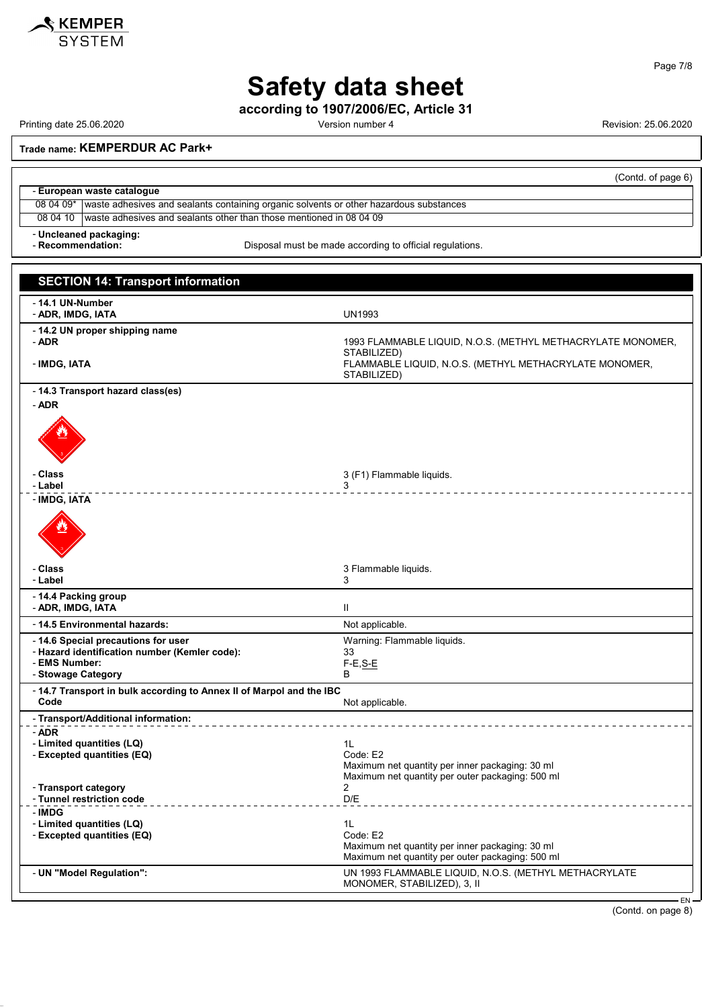

Page 7/8

# **Safety data sheet**

**according to 1907/2006/EC, Article 31**

Printing date 25.06.2020 **Printing date 25.06.2020** Version number 4 Revision: 25.06.2020

**Trade name: KEMPERDUR AC Park+**

|                             | (Contd. of page 6)                                                                                 |  |  |
|-----------------------------|----------------------------------------------------------------------------------------------------|--|--|
| - European waste catalogue  |                                                                                                    |  |  |
|                             | 08 04 09*   waste adhesives and sealants containing organic solvents or other hazardous substances |  |  |
| 08 04 10                    | I waste adhesives and sealants other than those mentioned in 08 04 09                              |  |  |
| - Uncleaned packaging:<br>. |                                                                                                    |  |  |

- **Recommendation:** Disposal must be made according to official regulations.

| <b>SECTION 14: Transport information</b>                                                                                    |                                                                                                                                      |
|-----------------------------------------------------------------------------------------------------------------------------|--------------------------------------------------------------------------------------------------------------------------------------|
| - 14.1 UN-Number<br>- ADR, IMDG, IATA                                                                                       | <b>UN1993</b>                                                                                                                        |
| -14.2 UN proper shipping name<br>- ADR<br>- IMDG, IATA                                                                      | 1993 FLAMMABLE LIQUID, N.O.S. (METHYL METHACRYLATE MONOMER,<br>STABILIZED)<br>FLAMMABLE LIQUID, N.O.S. (METHYL METHACRYLATE MONOMER, |
| - 14.3 Transport hazard class(es)<br>- ADR                                                                                  | STABILIZED)                                                                                                                          |
|                                                                                                                             |                                                                                                                                      |
| - Class<br>- Label                                                                                                          | 3 (F1) Flammable liquids.<br>3                                                                                                       |
| - IMDG, IATA                                                                                                                |                                                                                                                                      |
| - Class                                                                                                                     | 3 Flammable liquids.                                                                                                                 |
| - Label                                                                                                                     | 3                                                                                                                                    |
| - 14.4 Packing group<br>- ADR, IMDG, IATA                                                                                   | $\mathbf{H}$                                                                                                                         |
| - 14.5 Environmental hazards:                                                                                               | Not applicable.                                                                                                                      |
| - 14.6 Special precautions for user<br>- Hazard identification number (Kemler code):<br>- EMS Number:<br>- Stowage Category | Warning: Flammable liquids.<br>33<br>$F-E$ , $S-E$<br>B                                                                              |
| - 14.7 Transport in bulk according to Annex II of Marpol and the IBC<br>Code                                                | Not applicable.                                                                                                                      |
| - Transport/Additional information:                                                                                         |                                                                                                                                      |
| - ADR<br>- Limited quantities (LQ)<br>- Excepted quantities (EQ)                                                            | 1L<br>Code: E2<br>Maximum net quantity per inner packaging: 30 ml<br>Maximum net quantity per outer packaging: 500 ml                |
| - Transport category<br>- Tunnel restriction code                                                                           | $\overline{2}$<br>D/E                                                                                                                |
| - IMDG<br>- Limited quantities (LQ)<br>- Excepted quantities (EQ)                                                           | 1L<br>Code: E2<br>Maximum net quantity per inner packaging: 30 ml<br>Maximum net quantity per outer packaging: 500 ml                |
| - UN "Model Regulation":                                                                                                    | UN 1993 FLAMMABLE LIQUID, N.O.S. (METHYL METHACRYLATE<br>MONOMER, STABILIZED), 3, II<br>EN.                                          |

(Contd. on page 8)